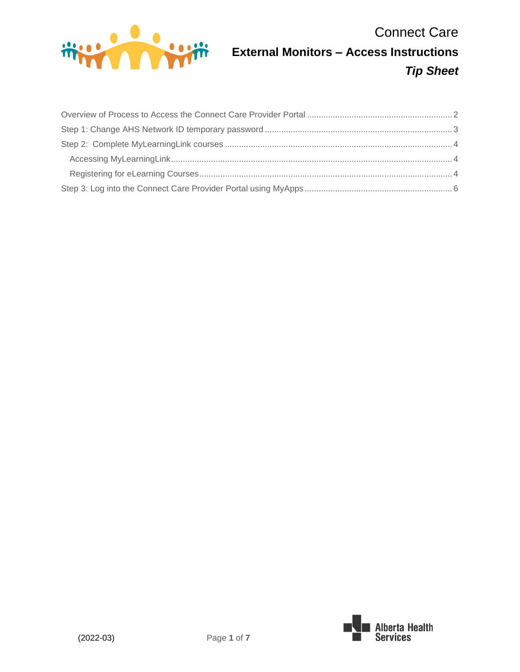

# Connect Care **External Monitors – Access Instructions** *Tip Sheet*

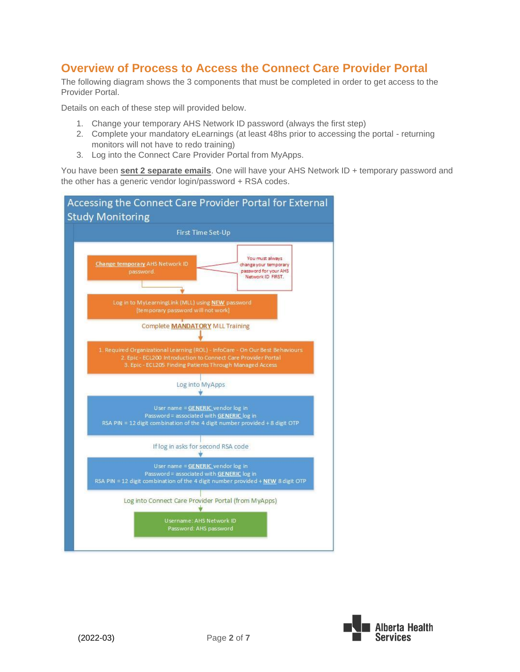### <span id="page-1-0"></span>**Overview of Process to Access the Connect Care Provider Portal**

The following diagram shows the 3 components that must be completed in order to get access to the Provider Portal.

Details on each of these step will provided below.

- 1. Change your temporary AHS Network ID password (always the first step)
- 2. Complete your mandatory eLearnings (at least 48hs prior to accessing the portal returning monitors will not have to redo training)
- 3. Log into the Connect Care Provider Portal from MyApps.

You have been **sent 2 separate emails**. One will have your AHS Network ID + temporary password and the other has a generic vendor login/password + RSA codes.



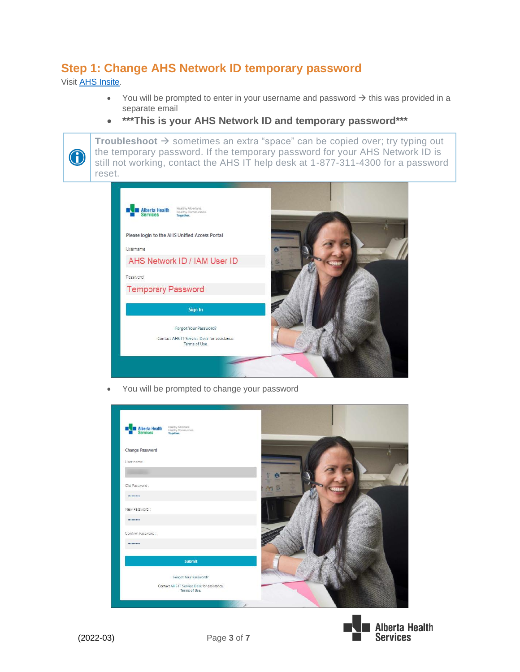### <span id="page-2-0"></span>**Step 1: Change AHS Network ID temporary password**

Visit [AHS Insite.](https://insite.albertahealthservices.ca/)

 $\bigodot$ 

- You will be prompted to enter in your username and password  $\rightarrow$  this was provided in a separate email
- **\*\*\*This is your AHS Network ID and temporary password\*\*\***

**Troubleshoot** → sometimes an extra "space" can be copied over; try typing out the temporary password. If the temporary password for your AHS Network ID is still not working, contact the AHS IT help desk at 1-877-311-4300 for a password reset.



• You will be prompted to change your password

| Hostity Albertane.<br>Hoalthy Communities.<br>Together.<br>Alberta Health |  |
|---------------------------------------------------------------------------|--|
| <b>Change Password</b>                                                    |  |
| User name:                                                                |  |
|                                                                           |  |
| Old Password:                                                             |  |
|                                                                           |  |
| New Password:                                                             |  |
|                                                                           |  |
| Confirm Password:                                                         |  |
| *********                                                                 |  |
| Submit                                                                    |  |
| Forgot Your Password?                                                     |  |
| Contact AHS IT Service Desk for assistance.<br>Terms of Use.              |  |

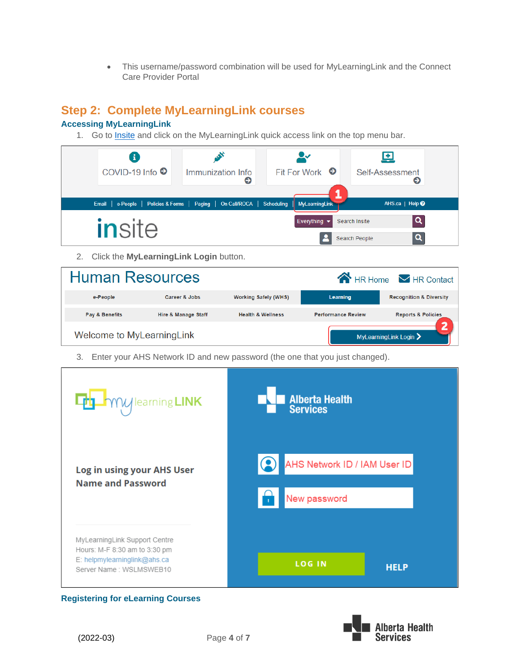• This username/password combination will be used for MyLearningLink and the Connect Care Provider Portal

## <span id="page-3-0"></span>**Step 2: Complete MyLearningLink courses**

#### <span id="page-3-1"></span>**Accessing MyLearningLink**

1. Go to [Insite](https://insite.albertahealthservices.ca/) and click on the MyLearningLink quick access link on the top menu bar.

|                                                                                                                       | Ð<br>COVID-19 Info <sup>●</sup>                                                                                         | Immunization Info<br>⊖ | Fit For Work $\bullet$ | 塱<br>Self-Assessment<br>Θ |
|-----------------------------------------------------------------------------------------------------------------------|-------------------------------------------------------------------------------------------------------------------------|------------------------|------------------------|---------------------------|
|                                                                                                                       | Email   e-People   Policies & Forms   Paging   On Call/ROCA   Scheduling   MyLearningLink<br>AHS.ca   Help <sup>0</sup> |                        |                        |                           |
| $\overline{a}$<br>Everything $\blacktriangleright$<br>Search Insite<br><i>insite</i><br>$\mathbf{Q}$<br>Search People |                                                                                                                         |                        |                        |                           |

2. Click the **MyLearningLink Login** button.

| <b>Human Resources</b><br><b>A</b> HR Home <b>M</b> HR Contact |                     |                              |                           |                                            |
|----------------------------------------------------------------|---------------------|------------------------------|---------------------------|--------------------------------------------|
| e-People                                                       | Career & Jobs       | <b>Working Safely (WHS)</b>  | Learning                  | <b>Recognition &amp; Diversity</b>         |
| Pay & Benefits                                                 | Hire & Manage Staff | <b>Health &amp; Wellness</b> | <b>Performance Review</b> | <b>Reports &amp; Policies</b>              |
| Welcome to MyLearningLink                                      |                     |                              |                           | MyLearningLink Login $\blacktriangleright$ |

3. Enter your AHS Network ID and new password (the one that you just changed).

| $\mathcal{U}$ learning LINK                                                                                               | <b>Alberta Health</b><br><b>Services</b>     |
|---------------------------------------------------------------------------------------------------------------------------|----------------------------------------------|
| Log in using your AHS User<br><b>Name and Password</b>                                                                    | AHS Network ID / IAM User ID<br>New password |
| MyLearningLink Support Centre<br>Hours: M-F 8:30 am to 3:30 pm<br>E: helpmylearninglink@ahs.ca<br>Server Name: WSLMSWEB10 | <b>LOG IN</b><br><b>HELP</b>                 |

#### <span id="page-3-2"></span>**Registering for eLearning Courses**

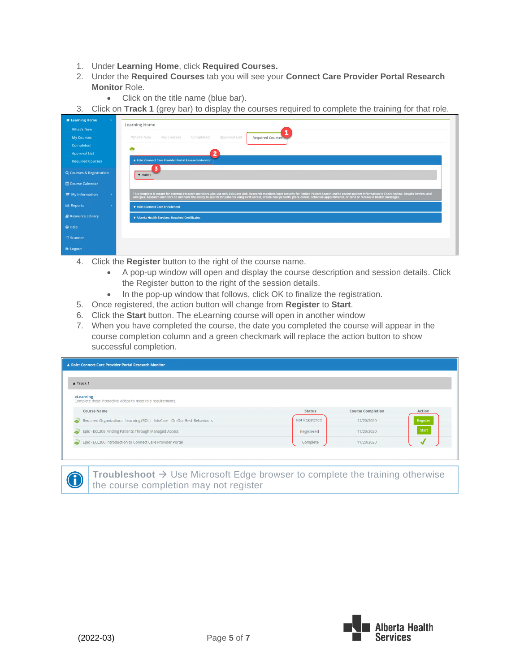- 1. Under **Learning Home**, click **Required Courses.**
- 2. Under the **Required Courses** tab you will see your **Connect Care Provider Portal Research Monitor** Role.
	- Click on the title name (blue bar).
- 3. Click on **Track 1** (grey bar) to display the courses required to complete the training for that role.

| <b><i>K</i></b> Learning Home<br>$\checkmark$ |                                                                                                                                                                                                                                |
|-----------------------------------------------|--------------------------------------------------------------------------------------------------------------------------------------------------------------------------------------------------------------------------------|
| <b>What's New</b>                             | <b>Learning Home</b>                                                                                                                                                                                                           |
| <b>My Courses</b>                             | Approval List<br>What's New<br>My Courses<br>Completed<br>Required Courses                                                                                                                                                     |
| Completed                                     | ō                                                                                                                                                                                                                              |
| <b>Approval List</b>                          | 12                                                                                                                                                                                                                             |
| <b>Required Courses</b>                       | A Role: Connect Care Provider Portal Research Monitor                                                                                                                                                                          |
| Q Courses & Registration                      | <b>v</b> Track 1                                                                                                                                                                                                               |
| t Course Calendar                             |                                                                                                                                                                                                                                |
| My Information                                | This template is meant for external research monitors who use only EpicCare Link. Research monitors have eccurity for limited Patient Search and to review patient information in Charl Theorem is a state in the state in exp |
| <b>III</b> Reports                            | ▼ Role: Connect Care Enrichment                                                                                                                                                                                                |
| Resource Library                              | ▼ Alberta Health Services: Required Certificates                                                                                                                                                                               |
| <sup>O</sup> Help                             |                                                                                                                                                                                                                                |
| <b>ं Scanner</b>                              |                                                                                                                                                                                                                                |
| <b>E</b> Logout                               |                                                                                                                                                                                                                                |

- 4. Click the **Register** button to the right of the course name.
	- A pop-up window will open and display the course description and session details. Click the Register button to the right of the session details.
	- In the pop-up window that follows, click OK to finalize the registration.
- 5. Once registered, the action button will change from **Register** to **Start**.
- 6. Click the **Start** button. The eLearning course will open in another window
- 7. When you have completed the course, the date you completed the course will appear in the course completion column and a green checkmark will replace the action button to show successful completion.

| A Role: Connect Care Provider Portal Research Monitor                      |                |                          |          |
|----------------------------------------------------------------------------|----------------|--------------------------|----------|
| $\triangle$ Track 1                                                        |                |                          |          |
| eLearning<br>Complete these interactive videos to meet role requirements.  |                |                          |          |
| <b>Course Name</b>                                                         | <b>Status</b>  | <b>Course Completion</b> | Action   |
| Required Organizational Learning (ROL) - InfoCare - On Our Best Behaviours | Not Registered | 11/20/2020               | Register |
|                                                                            |                |                          |          |
| Epic - ECL205 Finding Patients Through Managed Access<br>تد                | Registered     | 11/20/2020               | Start    |

**Troubleshoot** → Use Microsoft Edge browser to complete the training otherwise the course completion may not register



 $\bigodot$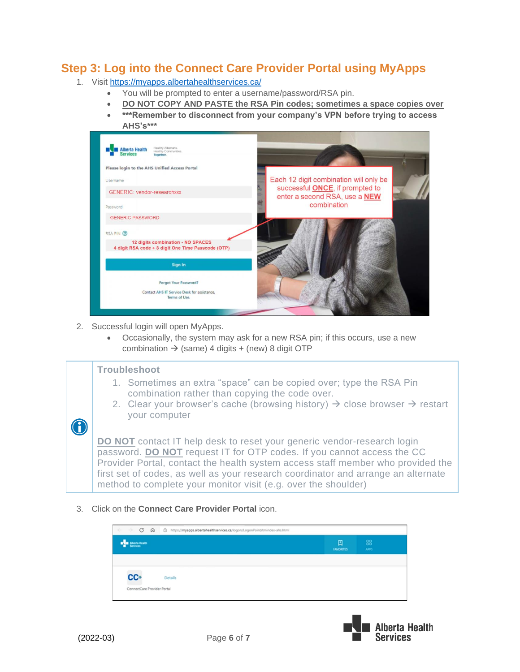### <span id="page-5-0"></span>**Step 3: Log into the Connect Care Provider Portal using MyApps**

- 1. Visit<https://myapps.albertahealthservices.ca/>
	- You will be prompted to enter a username/password/RSA pin.
	- **DO NOT COPY AND PASTE the RSA Pin codes; sometimes a space copies over**
	- **\*\*\*Remember to disconnect from your company's VPN before trying to access AHS's\*\*\***



- 2. Successful login will open MyApps.
	- Occasionally, the system may ask for a new RSA pin; if this occurs, use a new combination  $\rightarrow$  (same) 4 digits + (new) 8 digit OTP

#### **Troubleshoot**

- 1. Sometimes an extra "space" can be copied over; type the RSA Pin combination rather than copying the code over.
- 2. Clear your browser's cache (browsing history)  $\rightarrow$  close browser  $\rightarrow$  restart your computer

**DO NOT** contact IT help desk to reset your generic vendor-research login password. **DO NOT** request IT for OTP codes. If you cannot access the CC Provider Portal, contact the health system access staff member who provided the first set of codes, as well as your research coordinator and arrange an alternate method to complete your monitor visit (e.g. over the shoulder)

3. Click on the **Connect Care Provider Portal** icon.

| $\rightarrow$ C<br>$\odot$<br>ô<br>$\frac{1}{2} \left( \frac{1}{2} \right)^{\frac{1}{2}} \left( \frac{1}{2} \right)^{\frac{1}{2}} \left( \frac{1}{2} \right)^{\frac{1}{2}} \left( \frac{1}{2} \right)^{\frac{1}{2}} \left( \frac{1}{2} \right)^{\frac{1}{2}} \left( \frac{1}{2} \right)^{\frac{1}{2}} \left( \frac{1}{2} \right)^{\frac{1}{2}} \left( \frac{1}{2} \right)^{\frac{1}{2}} \left( \frac{1}{2} \right)^{\frac{1}{2}} \left( \frac{1}{2} \right)^{\frac{1}{2}} \left( \frac{1}{2} \right)^$ | https://myapps.albertahealthservices.ca/logon/LogonPoint/tmindex-ahs.html |                       |             |
|--------------------------------------------------------------------------------------------------------------------------------------------------------------------------------------------------------------------------------------------------------------------------------------------------------------------------------------------------------------------------------------------------------------------------------------------------------------------------------------------------------|---------------------------------------------------------------------------|-----------------------|-------------|
| Alberta Health                                                                                                                                                                                                                                                                                                                                                                                                                                                                                         |                                                                           | 囗<br><b>FAVORITES</b> | 88<br>APPS. |
|                                                                                                                                                                                                                                                                                                                                                                                                                                                                                                        |                                                                           |                       |             |
| cc+<br>ConnectCare Provider Portal                                                                                                                                                                                                                                                                                                                                                                                                                                                                     | <b>Details</b>                                                            |                       |             |



0